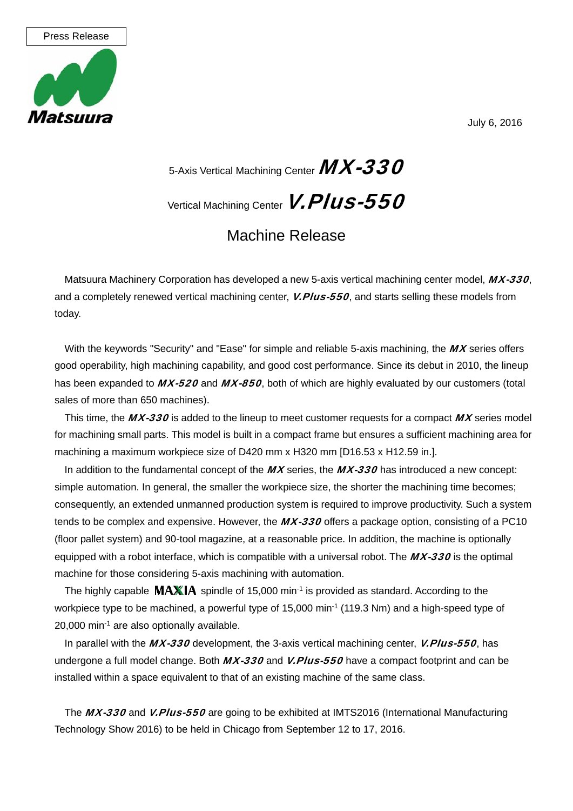

July 6, 2016

## 5-Axis Vertical Machining Center  $\textit{MX-330}$

Vertical Machining Center *V.Plus-550* 

## Machine Release

Matsuura Machinery Corporation has developed a new 5-axis vertical machining center model, MX-330, and a completely renewed vertical machining center, *V.Plus-550*, and starts selling these models from today.

With the keywords "Security" and "Ease" for simple and reliable 5-axis machining, the MX series offers good operability, high machining capability, and good cost performance. Since its debut in 2010, the lineup has been expanded to MX-520 and MX-850, both of which are highly evaluated by our customers (total sales of more than 650 machines).

This time, the  $MX-330$  is added to the lineup to meet customer requests for a compact  $MX$  series model for machining small parts. This model is built in a compact frame but ensures a sufficient machining area for machining a maximum workpiece size of D420 mm x H320 mm [D16.53 x H12.59 in.].

In addition to the fundamental concept of the  $MX$  series, the  $MX-330$  has introduced a new concept: simple automation. In general, the smaller the workpiece size, the shorter the machining time becomes; consequently, an extended unmanned production system is required to improve productivity. Such a system tends to be complex and expensive. However, the **MX-330** offers a package option, consisting of a PC10 (floor pallet system) and 90-tool magazine, at a reasonable price. In addition, the machine is optionally equipped with a robot interface, which is compatible with a universal robot. The  $MX-330$  is the optimal machine for those considering 5-axis machining with automation.

The highly capable  $MAXIA$  spindle of 15,000 min<sup>-1</sup> is provided as standard. According to the workpiece type to be machined, a powerful type of 15,000 min<sup>-1</sup> (119.3 Nm) and a high-speed type of 20,000 min-1 are also optionally available.

In parallel with the MX-330 development, the 3-axis vertical machining center, V.Plus-550, has undergone a full model change. Both  $MX-330$  and  $V.P$ us-550 have a compact footprint and can be installed within a space equivalent to that of an existing machine of the same class.

The MX-330 and V.Plus-550 are going to be exhibited at IMTS2016 (International Manufacturing Technology Show 2016) to be held in Chicago from September 12 to 17, 2016.